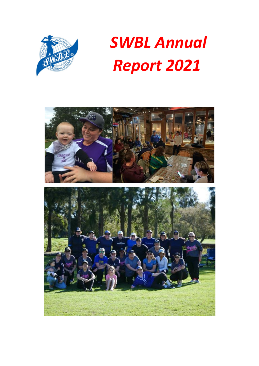

# *SWBL Annual Report 2021*

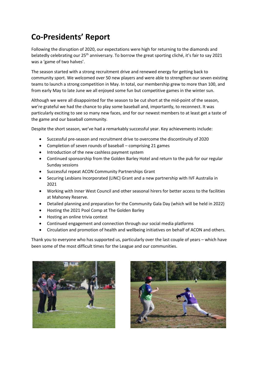## **Co-Presidents' Report**

Following the disruption of 2020, our expectations were high for returning to the diamonds and belatedly celebrating our 25<sup>th</sup> anniversary. To borrow the great sporting cliché, it's fair to say 2021 was a 'game of two halves'.

The season started with a strong recruitment drive and renewed energy for getting back to community sport. We welcomed over 50 new players and were able to strengthen our seven existing teams to launch a strong competition in May. In total, our membership grew to more than 100, and from early May to late June we all enjoyed some fun but competitive games in the winter sun.

Although we were all disappointed for the season to be cut short at the mid-point of the season, we're grateful we had the chance to play some baseball and, importantly, to reconnect. It was particularly exciting to see so many new faces, and for our newest members to at least get a taste of the game and our baseball community.

Despite the short season, we've had a remarkably successful year. Key achievements include:

- Successful pre-season and recruitment drive to overcome the discontinuity of 2020
- Completion of seven rounds of baseball comprising 21 games
- Introduction of the new cashless payment system
- Continued sponsorship from the Golden Barley Hotel and return to the pub for our regular Sunday sessions
- Successful repeat ACON Community Partnerships Grant
- Securing Lesbians Incorporated (LINC) Grant and a new partnership with IVF Australia in 2021
- Working with Inner West Council and other seasonal hirers for better access to the facilities at Mahoney Reserve.
- Detailed planning and preparation for the Community Gala Day (which will be held in 2022)
- Hosting the 2021 Pool Comp at The Golden Barley
- Hosting an online trivia contest
- Continued engagement and connection through our social media platforms
- Circulation and promotion of health and wellbeing initiatives on behalf of ACON and others.

Thank you to everyone who has supported us, particularly over the last couple of years – which have been some of the most difficult times for the League and our communities.



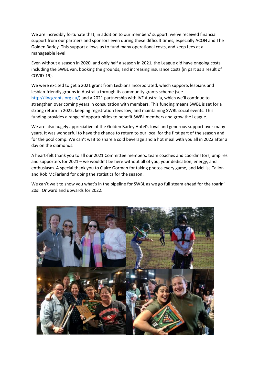We are incredibly fortunate that, in addition to our members' support, we've received financial support from our partners and sponsors even during these difficult times, especially ACON and The Golden Barley. This support allows us to fund many operational costs, and keep fees at a manageable level.

Even without a season in 2020, and only half a season in 2021, the League did have ongoing costs, including the SWBL van, booking the grounds, and increasing insurance costs (in part as a result of COVID-19).

We were excited to get a 2021 grant from Lesbians Incorporated, which supports lesbians and lesbian-friendly groups in Australia through its community grants scheme (see http://lincgrants.org.au/) and a 2021 partnership with IVF Australia, which we'll continue to strengthen over coming years in consultation with members. This funding means SWBL is set for a strong return in 2022, keeping registration fees low, and maintaining SWBL social events. This funding provides a range of opportunities to benefit SWBL members and grow the League.

We are also hugely appreciative of the Golden Barley Hotel's loyal and generous support over many years. It was wonderful to have the chance to return to our local for the first part of the season and for the pool comp. We can't wait to share a cold beverage and a hot meal with you all in 2022 after a day on the diamonds.

A heart-felt thank you to all our 2021 Committee members, team coaches and coordinators, umpires and supporters for 2021 – we wouldn't be here without all of you, your dedication, energy, and enthusiasm. A special thank you to Claire Gorman for taking photos every game, and Mellisa Tallon and Rob McFarland for doing the statistics for the season.

We can't wait to show you what's in the pipeline for SWBL as we go full steam ahead for the roarin' 20s! Onward and upwards for 2022.

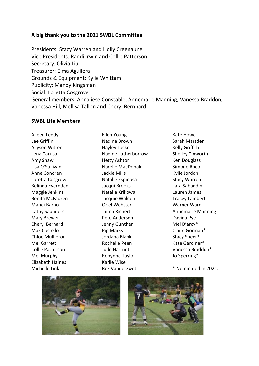### **A big thank you to the 2021 SWBL Committee**

Presidents: Stacy Warren and Holly Creenaune Vice Presidents: Randi Irwin and Collie Patterson Secretary: Olivia Liu Treasurer: Elma Aguilera Grounds & Equipment: Kylie Whittam Publicity: Mandy Kingsman Social: Loretta Cosgrove General members: Annaliese Constable, Annemarie Manning, Vanessa Braddon, Vanessa Hill, Mellisa Tallon and Cheryl Bernhard.

#### **SWBL Life Members**

Aileen Leddy Lee Griffin Allyson Witten Lena Caruso Amy Shaw Lisa O'Sullivan Anne Condren Loretta Cosgrove Belinda Evernden Maggie Jenkins Benita McFadzen Mandi Barno Cathy Saunders Mary Brewer Cheryl Bernard Max Costello Chloe Mulheron Mel Garrett Collie Patterson Mel Murphy Elizabeth Haines Michelle Link

Ellen Young Nadine Brown Hayley Lockett Nadine Lutherborrow Hetty Ashton Narelle MacDonald Jackie Mills Natalie Espinosa Jacqui Brooks Natalie Krikowa Jacquie Walden Oriel Webster Janna Richert Pete Anderson Jenny Gunther Pip Marks Jordana Blank Rochelle Peen Jude Hartnett Robynne Taylor Karlie Wise Roz Vanderzwet

Kate Howe Sarah Marsden Kelly Griffith Shelley Tinworth Ken Douglass Simone Roco Kylie Jordon Stacy Warren Lara Sabaddin Lauren James Tracey Lambert Warner Ward Annemarie Manning Davina Pye Mel D'arcy\* Claire Gorman\* Stacy Speer\* Kate Gardiner\* Vanessa Braddon\* Jo Sperring\*

\* Nominated in 2021.